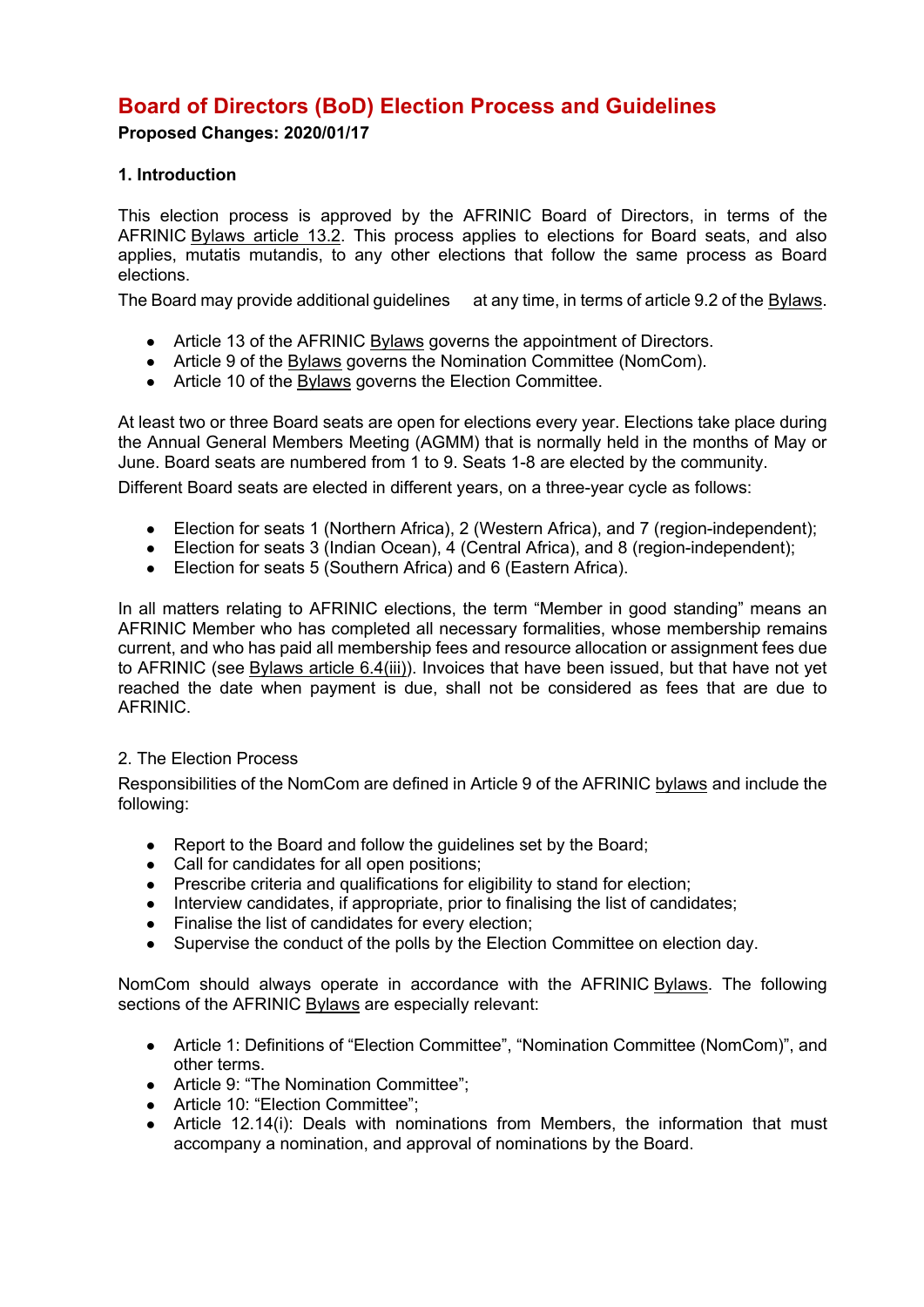# **Board of Directors (BoD) Election Process and Guidelines**

**Proposed Changes: 2020/01/17**

# **1. Introduction**

This election process is approved by the AFRINIC Board of Directors, in terms of the AFRINIC Bylaws article 13.2. This process applies to elections for Board seats, and also applies, mutatis mutandis, to any other elections that follow the same process as Board elections.

The Board may provide additional quidelines at any time, in terms of article 9.2 of the Bylaws.

- Article 13 of the AFRINIC Bylaws governs the appointment of Directors.
- Article 9 of the **Bylaws** governs the Nomination Committee (NomCom).
- Article 10 of the Bylaws governs the Election Committee.

At least two or three Board seats are open for elections every year. Elections take place during the Annual General Members Meeting (AGMM) that is normally held in the months of May or June. Board seats are numbered from 1 to 9. Seats 1-8 are elected by the community.

Different Board seats are elected in different years, on a three-year cycle as follows:

- Election for seats 1 (Northern Africa), 2 (Western Africa), and 7 (region-independent);
- Election for seats 3 (Indian Ocean), 4 (Central Africa), and 8 (region-independent);
- Election for seats 5 (Southern Africa) and 6 (Eastern Africa).

In all matters relating to AFRINIC elections, the term "Member in good standing" means an AFRINIC Member who has completed all necessary formalities, whose membership remains current, and who has paid all membership fees and resource allocation or assignment fees due to AFRINIC (see Bylaws article 6.4(iii)). Invoices that have been issued, but that have not yet reached the date when payment is due, shall not be considered as fees that are due to **AFRINIC** 

# 2. The Election Process

Responsibilities of the NomCom are defined in Article 9 of the AFRINIC bylaws and include the following:

- Report to the Board and follow the guidelines set by the Board:
- Call for candidates for all open positions;
- Prescribe criteria and qualifications for eligibility to stand for election;
- Interview candidates, if appropriate, prior to finalising the list of candidates;
- Finalise the list of candidates for every election;
- Supervise the conduct of the polls by the Election Committee on election day.

NomCom should always operate in accordance with the AFRINIC Bylaws. The following sections of the AFRINIC Bylaws are especially relevant:

- Article 1: Definitions of "Election Committee", "Nomination Committee (NomCom)", and other terms.
- Article 9: "The Nomination Committee":
- Article 10: "Election Committee";
- Article 12.14(i): Deals with nominations from Members, the information that must accompany a nomination, and approval of nominations by the Board.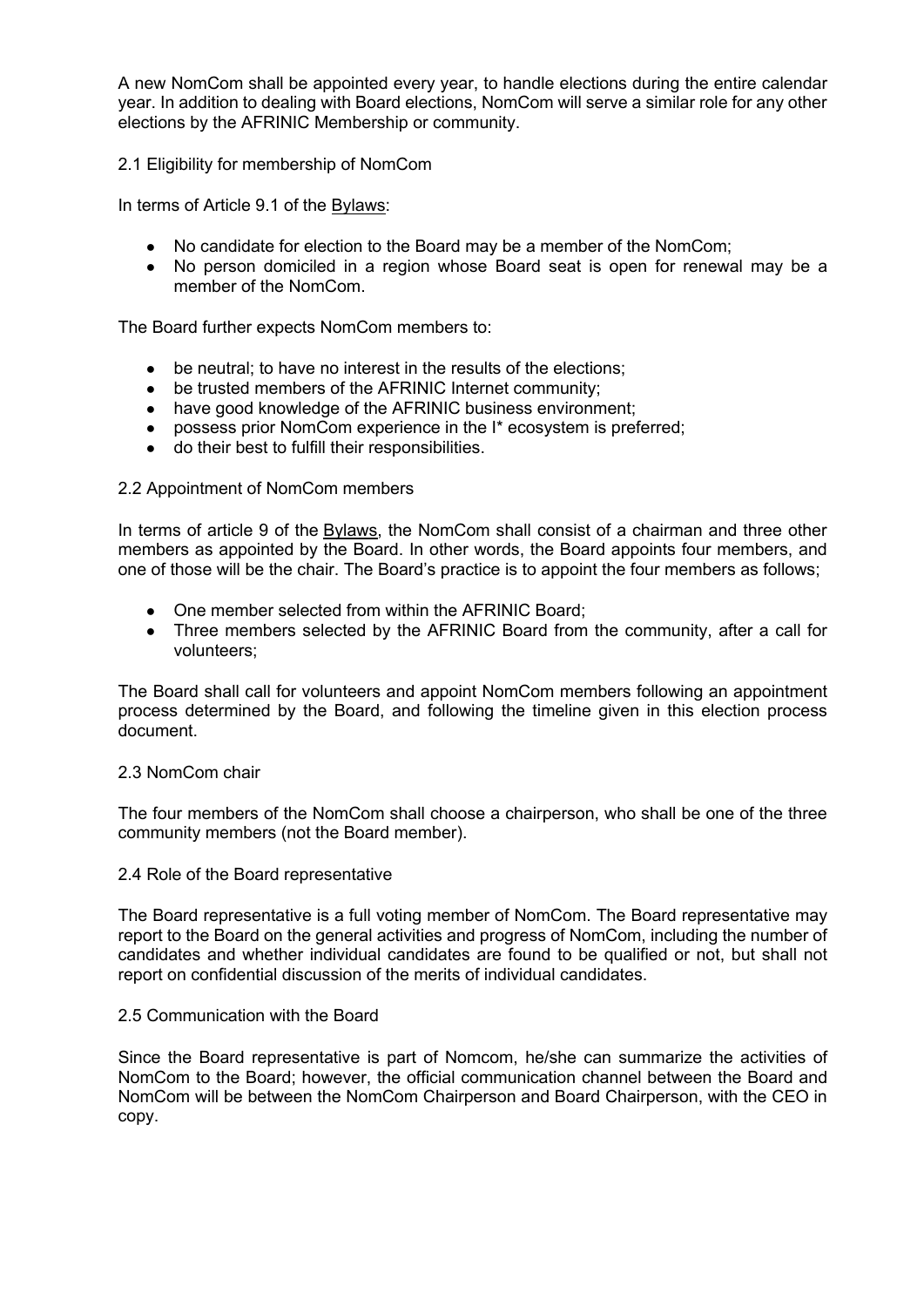A new NomCom shall be appointed every year, to handle elections during the entire calendar year. In addition to dealing with Board elections, NomCom will serve a similar role for any other elections by the AFRINIC Membership or community.

### 2.1 Eligibility for membership of NomCom

In terms of Article 9.1 of the Bylaws:

- No candidate for election to the Board may be a member of the NomCom;
- No person domiciled in a region whose Board seat is open for renewal may be a member of the NomCom.

The Board further expects NomCom members to:

- be neutral; to have no interest in the results of the elections;
- be trusted members of the AFRINIC Internet community;
- have good knowledge of the AFRINIC business environment;
- possess prior NomCom experience in the I\* ecosystem is preferred;
- do their best to fulfill their responsibilities.

### 2.2 Appointment of NomCom members

In terms of article 9 of the Bylaws, the NomCom shall consist of a chairman and three other members as appointed by the Board. In other words, the Board appoints four members, and one of those will be the chair. The Board's practice is to appoint the four members as follows;

- One member selected from within the AFRINIC Board;
- Three members selected by the AFRINIC Board from the community, after a call for volunteers;

The Board shall call for volunteers and appoint NomCom members following an appointment process determined by the Board, and following the timeline given in this election process document.

### 2.3 NomCom chair

The four members of the NomCom shall choose a chairperson, who shall be one of the three community members (not the Board member).

### 2.4 Role of the Board representative

The Board representative is a full voting member of NomCom. The Board representative may report to the Board on the general activities and progress of NomCom, including the number of candidates and whether individual candidates are found to be qualified or not, but shall not report on confidential discussion of the merits of individual candidates.

### 2.5 Communication with the Board

Since the Board representative is part of Nomcom, he/she can summarize the activities of NomCom to the Board; however, the official communication channel between the Board and NomCom will be between the NomCom Chairperson and Board Chairperson, with the CEO in copy.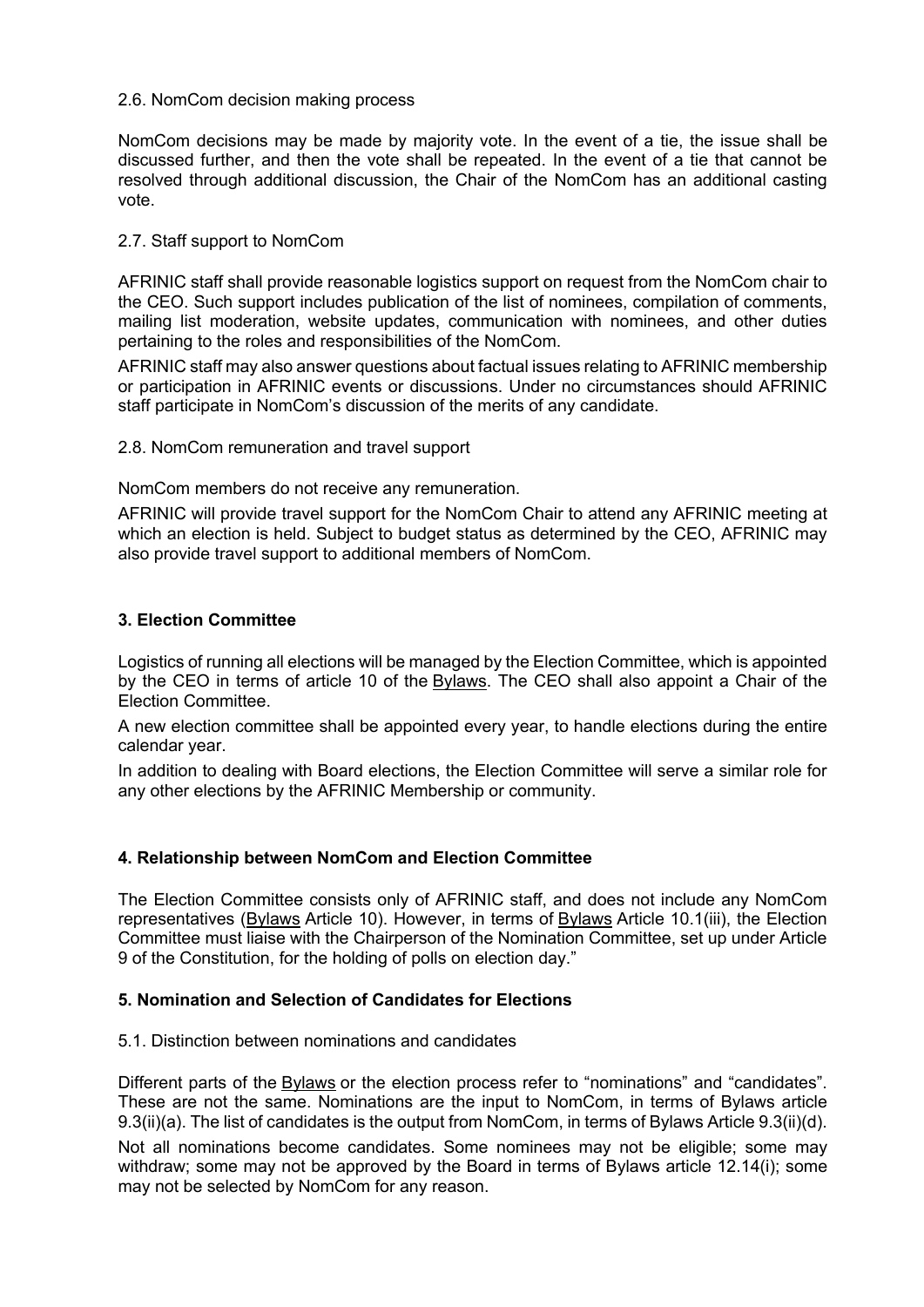### 2.6. NomCom decision making process

NomCom decisions may be made by majority vote. In the event of a tie, the issue shall be discussed further, and then the vote shall be repeated. In the event of a tie that cannot be resolved through additional discussion, the Chair of the NomCom has an additional casting vote.

### 2.7. Staff support to NomCom

AFRINIC staff shall provide reasonable logistics support on request from the NomCom chair to the CEO. Such support includes publication of the list of nominees, compilation of comments, mailing list moderation, website updates, communication with nominees, and other duties pertaining to the roles and responsibilities of the NomCom.

AFRINIC staff may also answer questions about factual issues relating to AFRINIC membership or participation in AFRINIC events or discussions. Under no circumstances should AFRINIC staff participate in NomCom's discussion of the merits of any candidate.

2.8. NomCom remuneration and travel support

NomCom members do not receive any remuneration.

AFRINIC will provide travel support for the NomCom Chair to attend any AFRINIC meeting at which an election is held. Subject to budget status as determined by the CEO, AFRINIC may also provide travel support to additional members of NomCom.

### **3. Election Committee**

Logistics of running all elections will be managed by the Election Committee, which is appointed by the CEO in terms of article 10 of the Bylaws. The CEO shall also appoint a Chair of the Election Committee.

A new election committee shall be appointed every year, to handle elections during the entire calendar year.

In addition to dealing with Board elections, the Election Committee will serve a similar role for any other elections by the AFRINIC Membership or community.

# **4. Relationship between NomCom and Election Committee**

The Election Committee consists only of AFRINIC staff, and does not include any NomCom representatives (Bylaws Article 10). However, in terms of Bylaws Article 10.1(iii), the Election Committee must liaise with the Chairperson of the Nomination Committee, set up under Article 9 of the Constitution, for the holding of polls on election day."

# **5. Nomination and Selection of Candidates for Elections**

### 5.1. Distinction between nominations and candidates

Different parts of the Bylaws or the election process refer to "nominations" and "candidates". These are not the same. Nominations are the input to NomCom, in terms of Bylaws article 9.3(ii)(a). The list of candidates is the output from NomCom, in terms of Bylaws Article 9.3(ii)(d).

Not all nominations become candidates. Some nominees may not be eligible; some may withdraw; some may not be approved by the Board in terms of Bylaws article 12.14(i); some may not be selected by NomCom for any reason.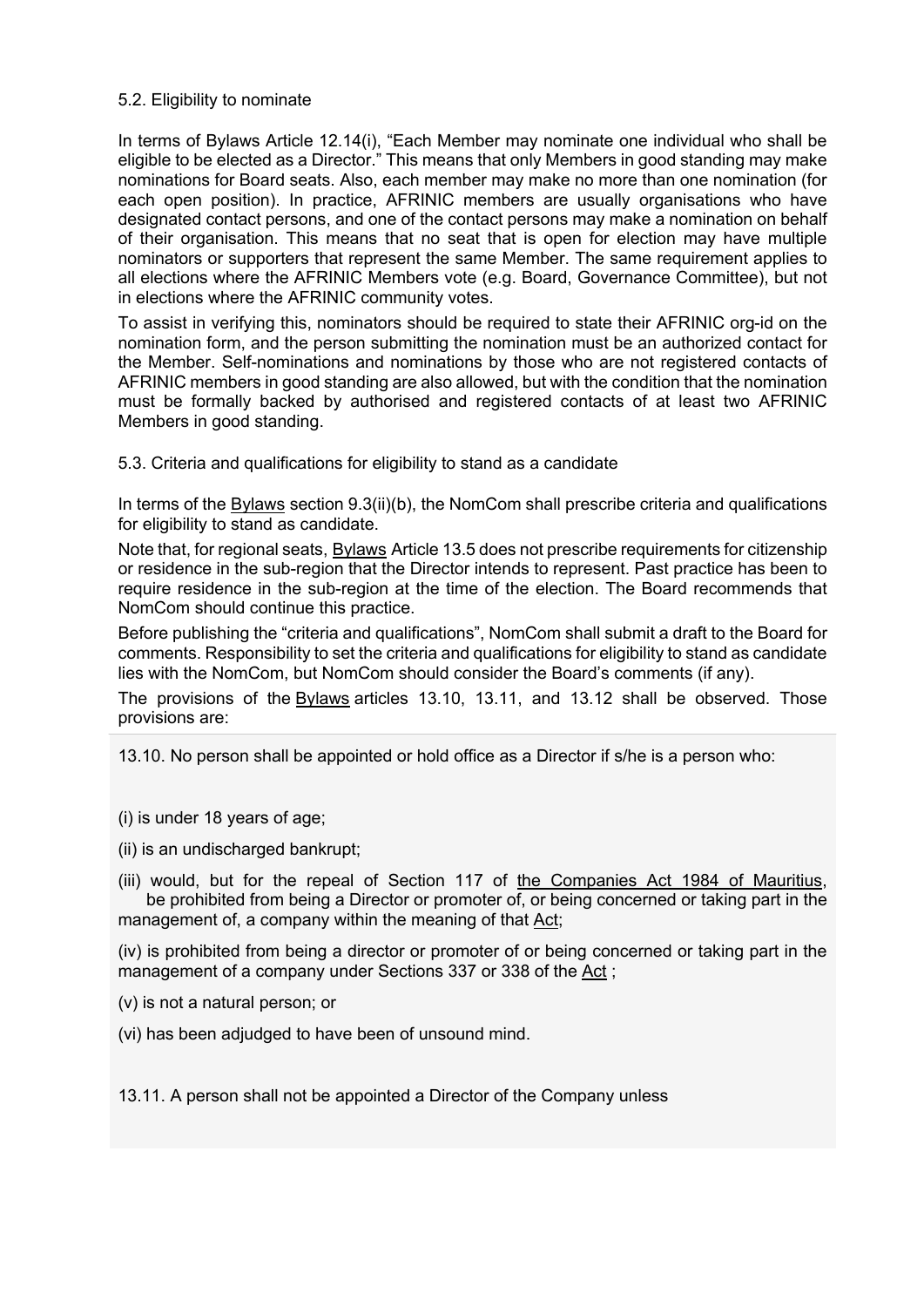### 5.2. Eligibility to nominate

In terms of Bylaws Article 12.14(i), "Each Member may nominate one individual who shall be eligible to be elected as a Director." This means that only Members in good standing may make nominations for Board seats. Also, each member may make no more than one nomination (for each open position). In practice, AFRINIC members are usually organisations who have designated contact persons, and one of the contact persons may make a nomination on behalf of their organisation. This means that no seat that is open for election may have multiple nominators or supporters that represent the same Member. The same requirement applies to all elections where the AFRINIC Members vote (e.g. Board, Governance Committee), but not in elections where the AFRINIC community votes.

To assist in verifying this, nominators should be required to state their AFRINIC org-id on the nomination form, and the person submitting the nomination must be an authorized contact for the Member. Self-nominations and nominations by those who are not registered contacts of AFRINIC members in good standing are also allowed, but with the condition that the nomination must be formally backed by authorised and registered contacts of at least two AFRINIC Members in good standing.

5.3. Criteria and qualifications for eligibility to stand as a candidate

In terms of the Bylaws section 9.3(ii)(b), the NomCom shall prescribe criteria and qualifications for eligibility to stand as candidate.

Note that, for regional seats, Bylaws Article 13.5 does not prescribe requirements for citizenship or residence in the sub-region that the Director intends to represent. Past practice has been to require residence in the sub-region at the time of the election. The Board recommends that NomCom should continue this practice.

Before publishing the "criteria and qualifications", NomCom shall submit a draft to the Board for comments. Responsibility to set the criteria and qualifications for eligibility to stand as candidate lies with the NomCom, but NomCom should consider the Board's comments (if any).

The provisions of the Bylaws articles 13.10, 13.11, and 13.12 shall be observed. Those provisions are:

13.10. No person shall be appointed or hold office as a Director if s/he is a person who:

(i) is under 18 years of age;

(ii) is an undischarged bankrupt;

(iii) would, but for the repeal of Section 117 of the Companies Act 1984 of Mauritius, be prohibited from being a Director or promoter of, or being concerned or taking part in the management of, a company within the meaning of that Act;

(iv) is prohibited from being a director or promoter of or being concerned or taking part in the management of a company under Sections 337 or 338 of the Act ;

(v) is not a natural person; or

(vi) has been adjudged to have been of unsound mind.

13.11. A person shall not be appointed a Director of the Company unless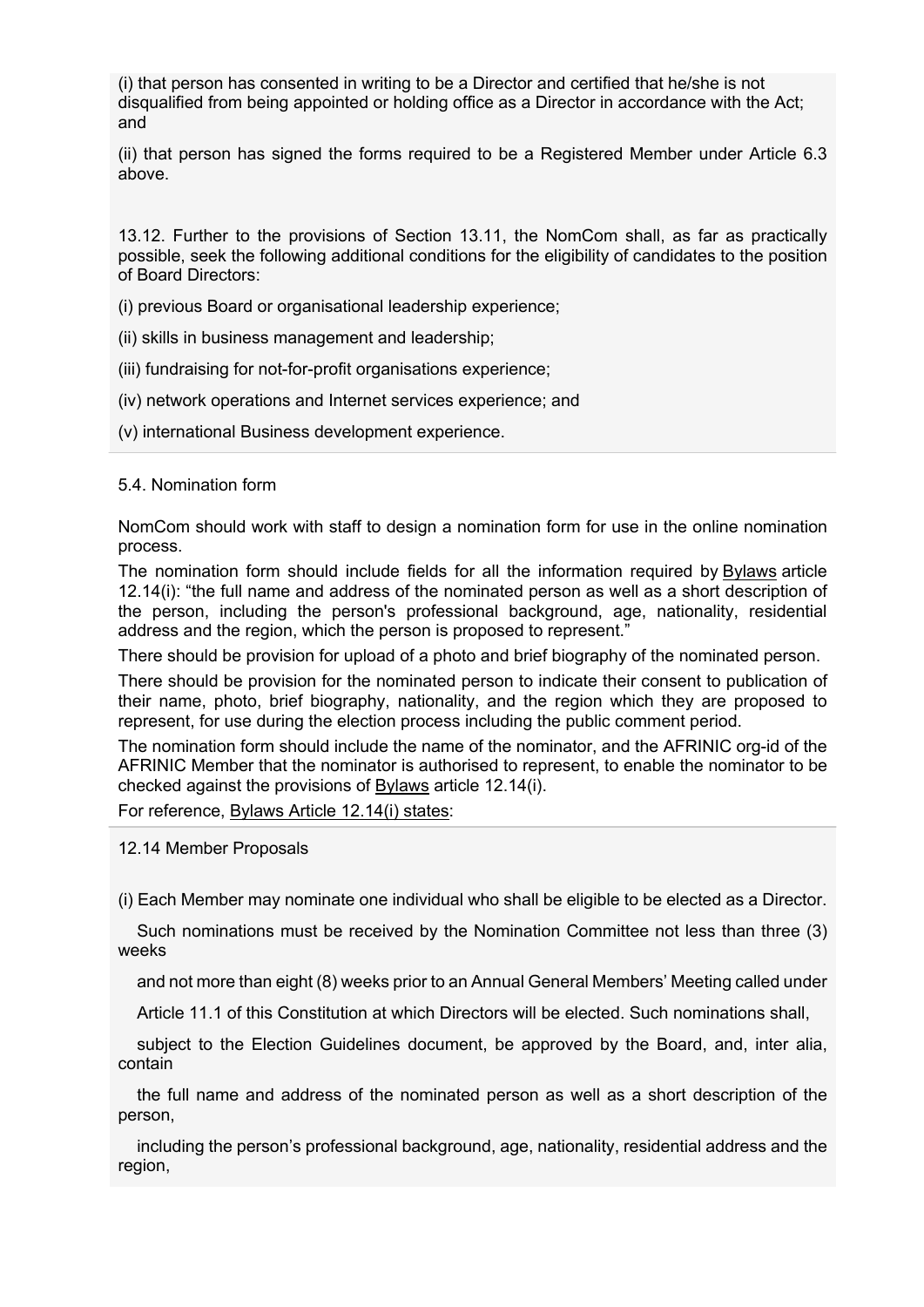(i) that person has consented in writing to be a Director and certified that he/she is not disqualified from being appointed or holding office as a Director in accordance with the Act; and

(ii) that person has signed the forms required to be a Registered Member under Article 6.3 above.

13.12. Further to the provisions of Section 13.11, the NomCom shall, as far as practically possible, seek the following additional conditions for the eligibility of candidates to the position of Board Directors:

(i) previous Board or organisational leadership experience;

(ii) skills in business management and leadership;

(iii) fundraising for not-for-profit organisations experience;

(iv) network operations and Internet services experience; and

(v) international Business development experience.

5.4. Nomination form

NomCom should work with staff to design a nomination form for use in the online nomination process.

The nomination form should include fields for all the information required by Bylaws article 12.14(i): "the full name and address of the nominated person as well as a short description of the person, including the person's professional background, age, nationality, residential address and the region, which the person is proposed to represent."

There should be provision for upload of a photo and brief biography of the nominated person.

There should be provision for the nominated person to indicate their consent to publication of their name, photo, brief biography, nationality, and the region which they are proposed to represent, for use during the election process including the public comment period.

The nomination form should include the name of the nominator, and the AFRINIC org-id of the AFRINIC Member that the nominator is authorised to represent, to enable the nominator to be checked against the provisions of Bylaws article 12.14(i).

For reference, Bylaws Article 12.14(i) states:

12.14 Member Proposals

(i) Each Member may nominate one individual who shall be eligible to be elected as a Director.

 Such nominations must be received by the Nomination Committee not less than three (3) weeks

and not more than eight (8) weeks prior to an Annual General Members' Meeting called under

Article 11.1 of this Constitution at which Directors will be elected. Such nominations shall,

 subject to the Election Guidelines document, be approved by the Board, and, inter alia, contain

 the full name and address of the nominated person as well as a short description of the person,

 including the person's professional background, age, nationality, residential address and the region,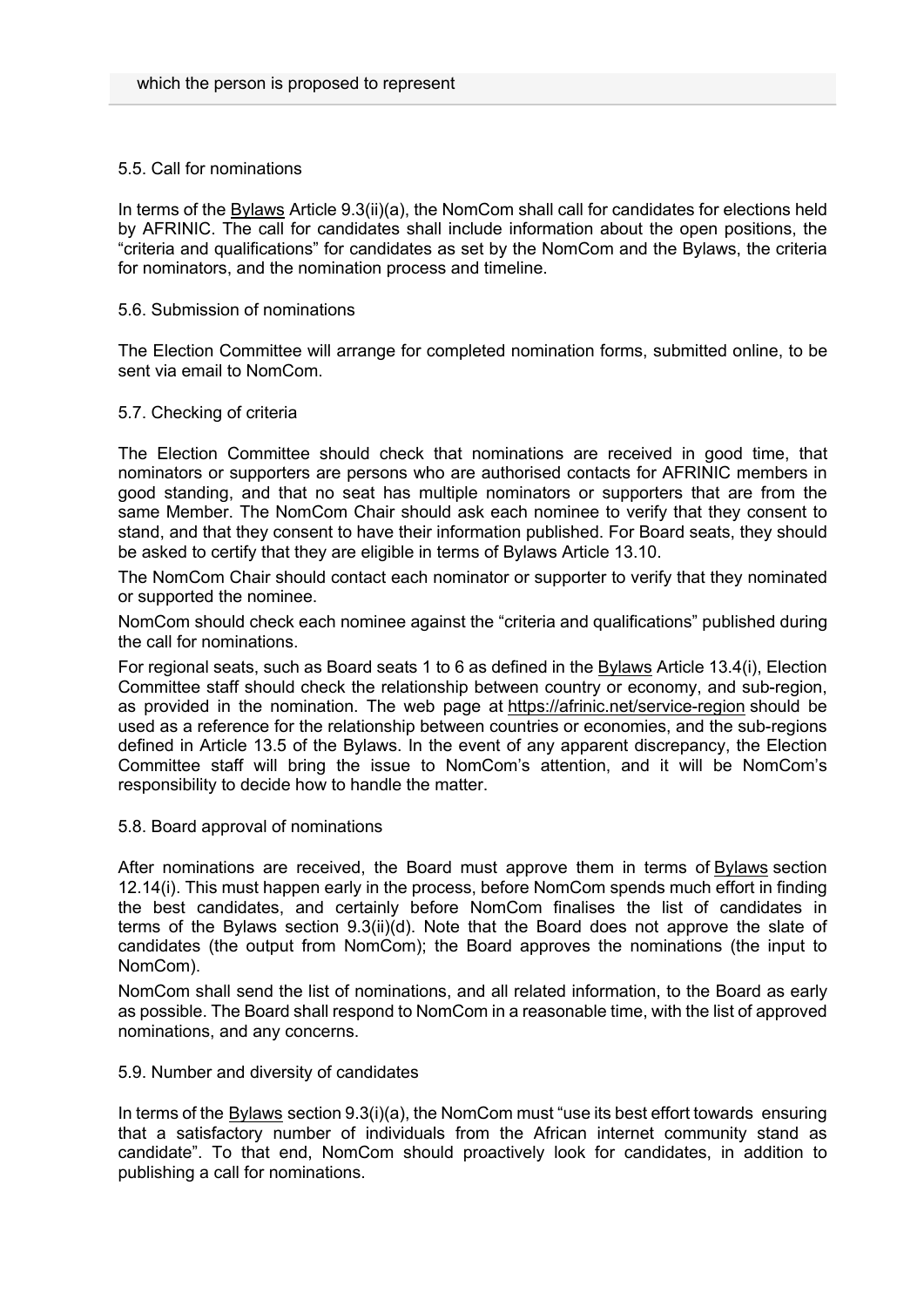### 5.5. Call for nominations

In terms of the Bylaws Article 9.3(ii)(a), the NomCom shall call for candidates for elections held by AFRINIC. The call for candidates shall include information about the open positions, the "criteria and qualifications" for candidates as set by the NomCom and the Bylaws, the criteria for nominators, and the nomination process and timeline.

#### 5.6. Submission of nominations

The Election Committee will arrange for completed nomination forms, submitted online, to be sent via email to NomCom.

#### 5.7. Checking of criteria

The Election Committee should check that nominations are received in good time, that nominators or supporters are persons who are authorised contacts for AFRINIC members in good standing, and that no seat has multiple nominators or supporters that are from the same Member. The NomCom Chair should ask each nominee to verify that they consent to stand, and that they consent to have their information published. For Board seats, they should be asked to certify that they are eligible in terms of Bylaws Article 13.10.

The NomCom Chair should contact each nominator or supporter to verify that they nominated or supported the nominee.

NomCom should check each nominee against the "criteria and qualifications" published during the call for nominations.

For regional seats, such as Board seats 1 to 6 as defined in the Bylaws Article 13.4(i), Election Committee staff should check the relationship between country or economy, and sub-region, as provided in the nomination. The web page at https://afrinic.net/service-region should be used as a reference for the relationship between countries or economies, and the sub-regions defined in Article 13.5 of the Bylaws. In the event of any apparent discrepancy, the Election Committee staff will bring the issue to NomCom's attention, and it will be NomCom's responsibility to decide how to handle the matter.

5.8. Board approval of nominations

After nominations are received, the Board must approve them in terms of Bylaws section 12.14(i). This must happen early in the process, before NomCom spends much effort in finding the best candidates, and certainly before NomCom finalises the list of candidates in terms of the Bylaws section 9.3(ii)(d). Note that the Board does not approve the slate of candidates (the output from NomCom); the Board approves the nominations (the input to NomCom).

NomCom shall send the list of nominations, and all related information, to the Board as early as possible. The Board shall respond to NomCom in a reasonable time, with the list of approved nominations, and any concerns.

#### 5.9. Number and diversity of candidates

In terms of the Bylaws section 9.3(i)(a), the NomCom must "use its best effort towards ensuring that a satisfactory number of individuals from the African internet community stand as candidate". To that end, NomCom should proactively look for candidates, in addition to publishing a call for nominations.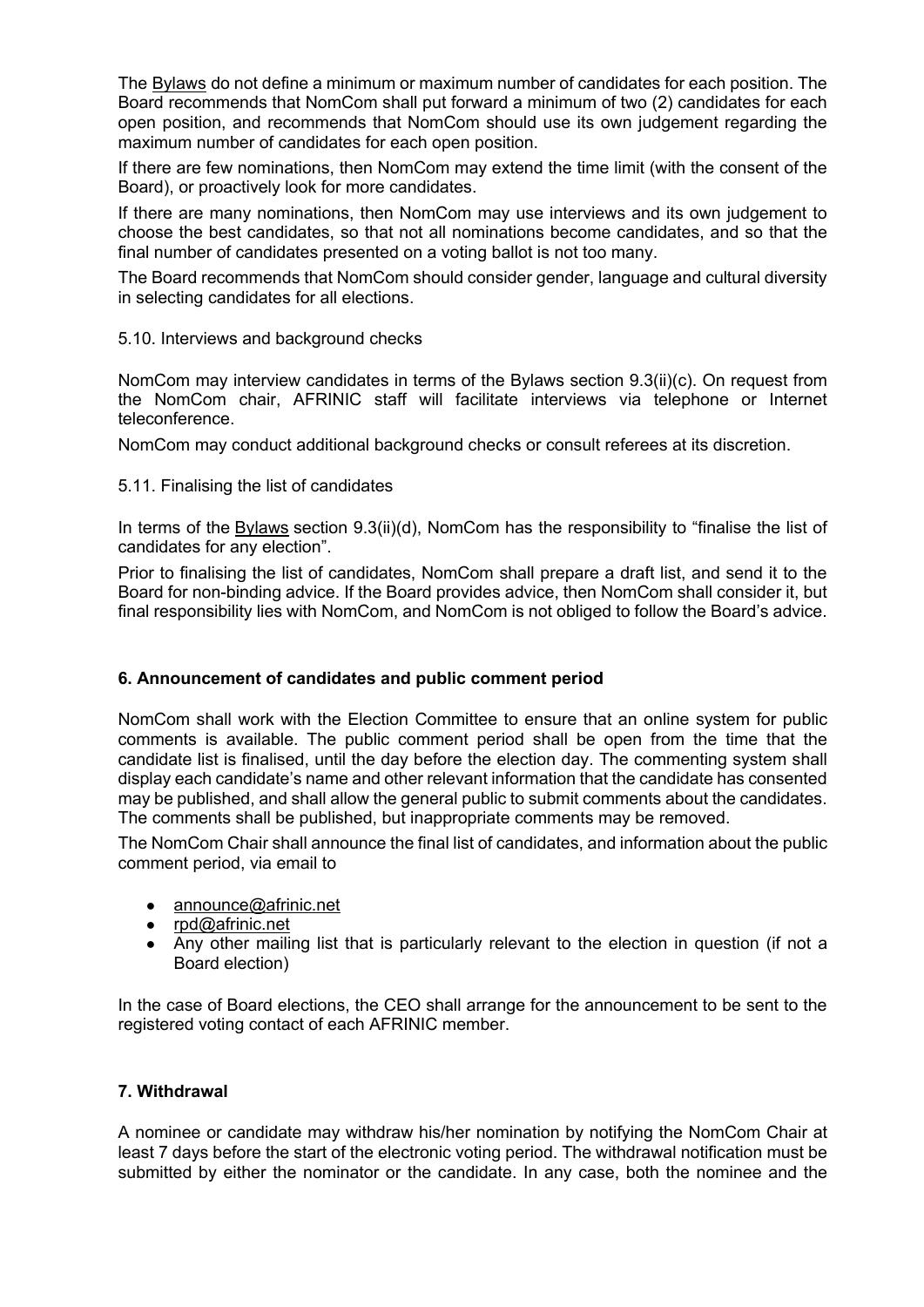The Bylaws do not define a minimum or maximum number of candidates for each position. The Board recommends that NomCom shall put forward a minimum of two (2) candidates for each open position, and recommends that NomCom should use its own judgement regarding the maximum number of candidates for each open position.

If there are few nominations, then NomCom may extend the time limit (with the consent of the Board), or proactively look for more candidates.

If there are many nominations, then NomCom may use interviews and its own judgement to choose the best candidates, so that not all nominations become candidates, and so that the final number of candidates presented on a voting ballot is not too many.

The Board recommends that NomCom should consider gender, language and cultural diversity in selecting candidates for all elections.

5.10. Interviews and background checks

NomCom may interview candidates in terms of the Bylaws section 9.3(ii)(c). On request from the NomCom chair, AFRINIC staff will facilitate interviews via telephone or Internet teleconference.

NomCom may conduct additional background checks or consult referees at its discretion.

5.11. Finalising the list of candidates

In terms of the Bylaws section 9.3(ii)(d), NomCom has the responsibility to "finalise the list of candidates for any election".

Prior to finalising the list of candidates, NomCom shall prepare a draft list, and send it to the Board for non-binding advice. If the Board provides advice, then NomCom shall consider it, but final responsibility lies with NomCom, and NomCom is not obliged to follow the Board's advice.

# **6. Announcement of candidates and public comment period**

NomCom shall work with the Election Committee to ensure that an online system for public comments is available. The public comment period shall be open from the time that the candidate list is finalised, until the day before the election day. The commenting system shall display each candidate's name and other relevant information that the candidate has consented may be published, and shall allow the general public to submit comments about the candidates. The comments shall be published, but inappropriate comments may be removed.

The NomCom Chair shall announce the final list of candidates, and information about the public comment period, via email to

- announce@afrinic.net
- rpd@afrinic.net
- Any other mailing list that is particularly relevant to the election in question (if not a Board election)

In the case of Board elections, the CEO shall arrange for the announcement to be sent to the registered voting contact of each AFRINIC member.

# **7. Withdrawal**

A nominee or candidate may withdraw his/her nomination by notifying the NomCom Chair at least 7 days before the start of the electronic voting period. The withdrawal notification must be submitted by either the nominator or the candidate. In any case, both the nominee and the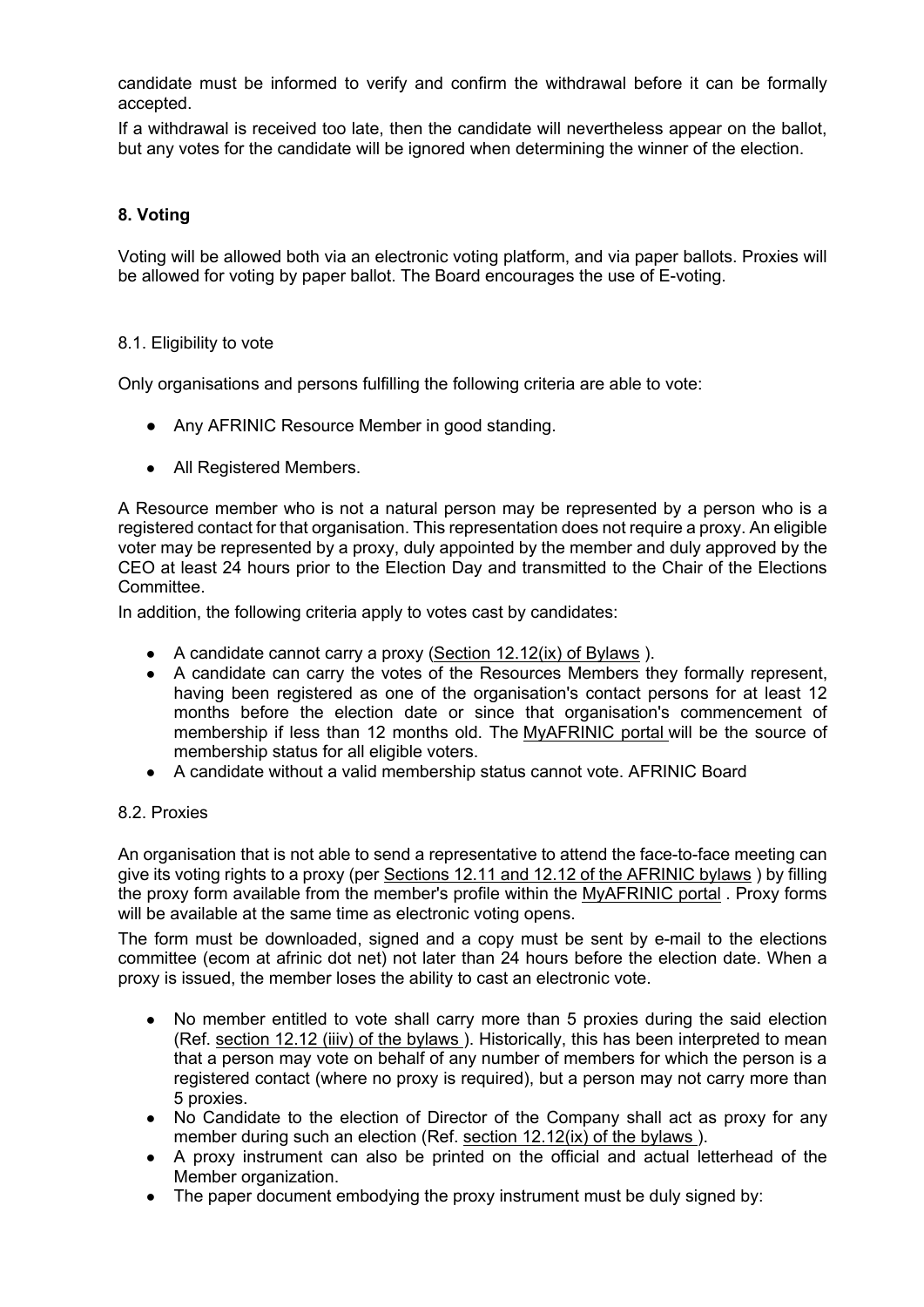candidate must be informed to verify and confirm the withdrawal before it can be formally accepted.

If a withdrawal is received too late, then the candidate will nevertheless appear on the ballot, but any votes for the candidate will be ignored when determining the winner of the election.

# **8. Voting**

Voting will be allowed both via an electronic voting platform, and via paper ballots. Proxies will be allowed for voting by paper ballot. The Board encourages the use of E-voting.

### 8.1. Eligibility to vote

Only organisations and persons fulfilling the following criteria are able to vote:

- Any AFRINIC Resource Member in good standing.
- All Registered Members.

A Resource member who is not a natural person may be represented by a person who is a registered contact for that organisation. This representation does not require a proxy. An eligible voter may be represented by a proxy, duly appointed by the member and duly approved by the CEO at least 24 hours prior to the Election Day and transmitted to the Chair of the Elections Committee.

In addition, the following criteria apply to votes cast by candidates:

- A candidate cannot carry a proxy (Section 12.12(ix) of Bylaws).
- A candidate can carry the votes of the Resources Members they formally represent, having been registered as one of the organisation's contact persons for at least 12 months before the election date or since that organisation's commencement of membership if less than 12 months old. The MyAFRINIC portal will be the source of membership status for all eligible voters.
- A candidate without a valid membership status cannot vote. AFRINIC Board

### 8.2. Proxies

An organisation that is not able to send a representative to attend the face-to-face meeting can give its voting rights to a proxy (per Sections 12.11 and 12.12 of the AFRINIC bylaws ) by filling the proxy form available from the member's profile within the MyAFRINIC portal . Proxy forms will be available at the same time as electronic voting opens.

The form must be downloaded, signed and a copy must be sent by e-mail to the elections committee (ecom at afrinic dot net) not later than 24 hours before the election date. When a proxy is issued, the member loses the ability to cast an electronic vote.

- No member entitled to vote shall carry more than 5 proxies during the said election (Ref. section 12.12 (iiiv) of the bylaws ). Historically, this has been interpreted to mean that a person may vote on behalf of any number of members for which the person is a registered contact (where no proxy is required), but a person may not carry more than 5 proxies.
- No Candidate to the election of Director of the Company shall act as proxy for any member during such an election (Ref. section 12.12(ix) of the bylaws ).
- A proxy instrument can also be printed on the official and actual letterhead of the Member organization.
- The paper document embodying the proxy instrument must be duly signed by: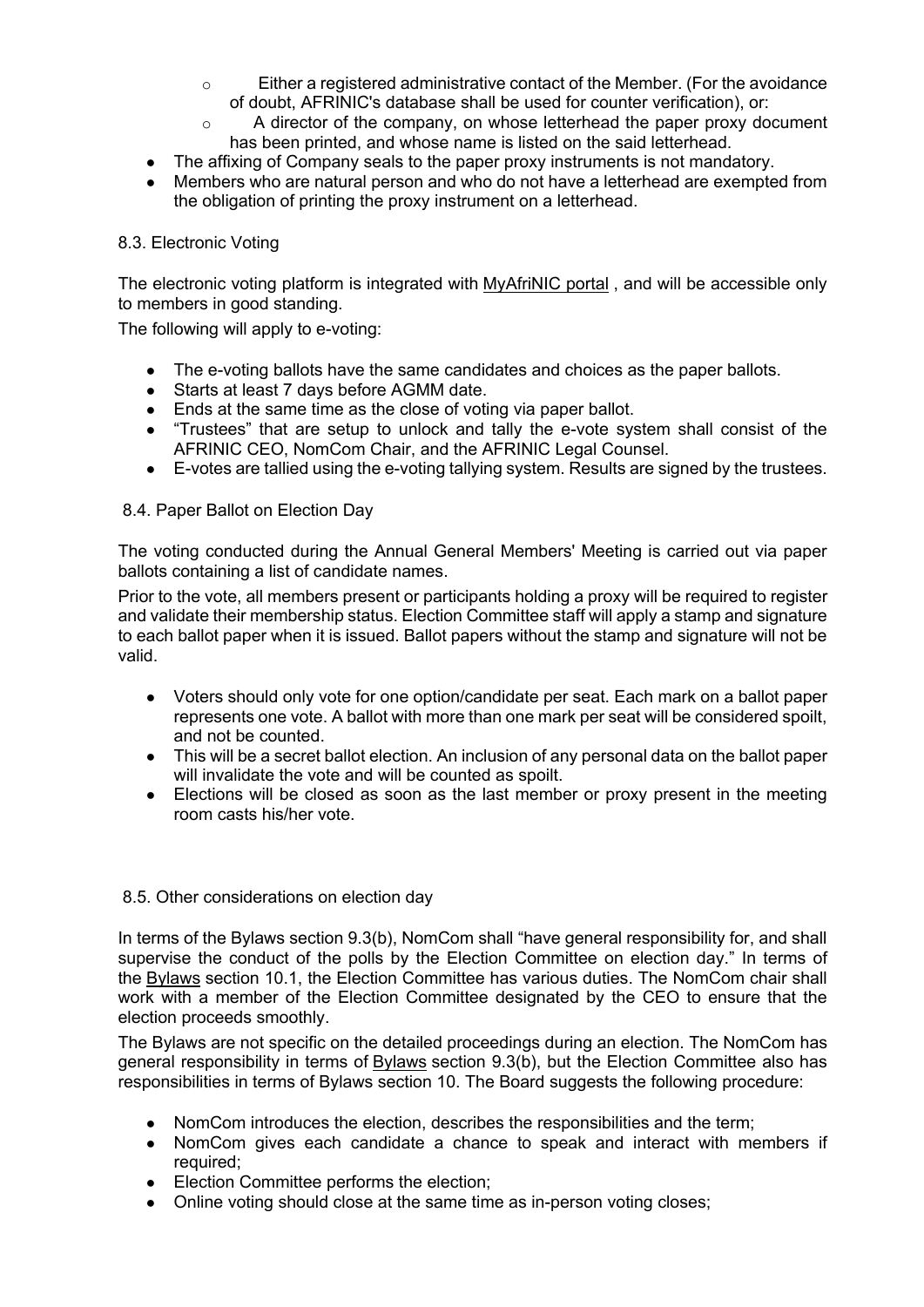- $\circ$  Either a registered administrative contact of the Member. (For the avoidance of doubt, AFRINIC's database shall be used for counter verification), or:
- $\circ$  A director of the company, on whose letterhead the paper proxy document has been printed, and whose name is listed on the said letterhead.
- The affixing of Company seals to the paper proxy instruments is not mandatory.
- Members who are natural person and who do not have a letterhead are exempted from the obligation of printing the proxy instrument on a letterhead.

# 8.3. Electronic Voting

The electronic voting platform is integrated with MyAfriNIC portal , and will be accessible only to members in good standing.

The following will apply to e-voting:

- The e-voting ballots have the same candidates and choices as the paper ballots.
- Starts at least 7 days before AGMM date.
- Ends at the same time as the close of voting via paper ballot.
- "Trustees" that are setup to unlock and tally the e-vote system shall consist of the AFRINIC CEO, NomCom Chair, and the AFRINIC Legal Counsel.
- E-votes are tallied using the e-voting tallying system. Results are signed by the trustees.

### 8.4. Paper Ballot on Election Day

The voting conducted during the Annual General Members' Meeting is carried out via paper ballots containing a list of candidate names.

Prior to the vote, all members present or participants holding a proxy will be required to register and validate their membership status. Election Committee staff will apply a stamp and signature to each ballot paper when it is issued. Ballot papers without the stamp and signature will not be valid.

- Voters should only vote for one option/candidate per seat. Each mark on a ballot paper represents one vote. A ballot with more than one mark per seat will be considered spoilt, and not be counted.
- This will be a secret ballot election. An inclusion of any personal data on the ballot paper will invalidate the vote and will be counted as spoilt.
- Elections will be closed as soon as the last member or proxy present in the meeting room casts his/her vote.

### 8.5. Other considerations on election day

In terms of the Bylaws section 9.3(b), NomCom shall "have general responsibility for, and shall supervise the conduct of the polls by the Election Committee on election day." In terms of the Bylaws section 10.1, the Election Committee has various duties. The NomCom chair shall work with a member of the Election Committee designated by the CEO to ensure that the election proceeds smoothly.

The Bylaws are not specific on the detailed proceedings during an election. The NomCom has general responsibility in terms of Bylaws section 9.3(b), but the Election Committee also has responsibilities in terms of Bylaws section 10. The Board suggests the following procedure:

- NomCom introduces the election, describes the responsibilities and the term;
- NomCom gives each candidate a chance to speak and interact with members if required;
- Election Committee performs the election;
- Online voting should close at the same time as in-person voting closes;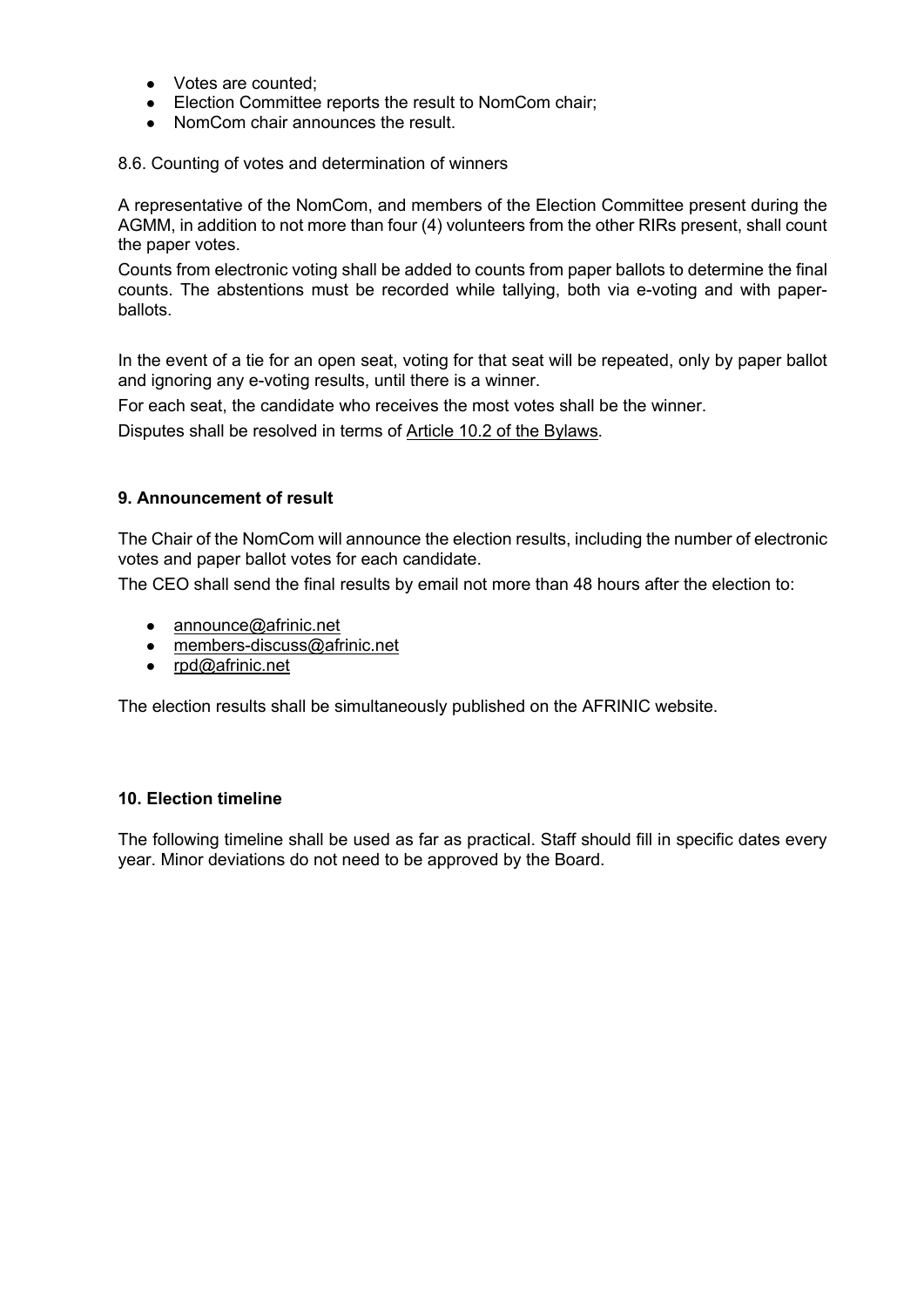- Votes are counted;
- Election Committee reports the result to NomCom chair;
- NomCom chair announces the result.

8.6. Counting of votes and determination of winners

A representative of the NomCom, and members of the Election Committee present during the AGMM, in addition to not more than four (4) volunteers from the other RIRs present, shall count the paper votes.

Counts from electronic voting shall be added to counts from paper ballots to determine the final counts. The abstentions must be recorded while tallying, both via e-voting and with paperballots.

In the event of a tie for an open seat, voting for that seat will be repeated, only by paper ballot and ignoring any e-voting results, until there is a winner.

For each seat, the candidate who receives the most votes shall be the winner.

Disputes shall be resolved in terms of Article 10.2 of the Bylaws.

### **9. Announcement of result**

The Chair of the NomCom will announce the election results, including the number of electronic votes and paper ballot votes for each candidate.

The CEO shall send the final results by email not more than 48 hours after the election to:

- announce@afrinic.net
- members-discuss@afrinic.net
- rpd@afrinic.net

The election results shall be simultaneously published on the AFRINIC website.

### **10. Election timeline**

The following timeline shall be used as far as practical. Staff should fill in specific dates every year. Minor deviations do not need to be approved by the Board.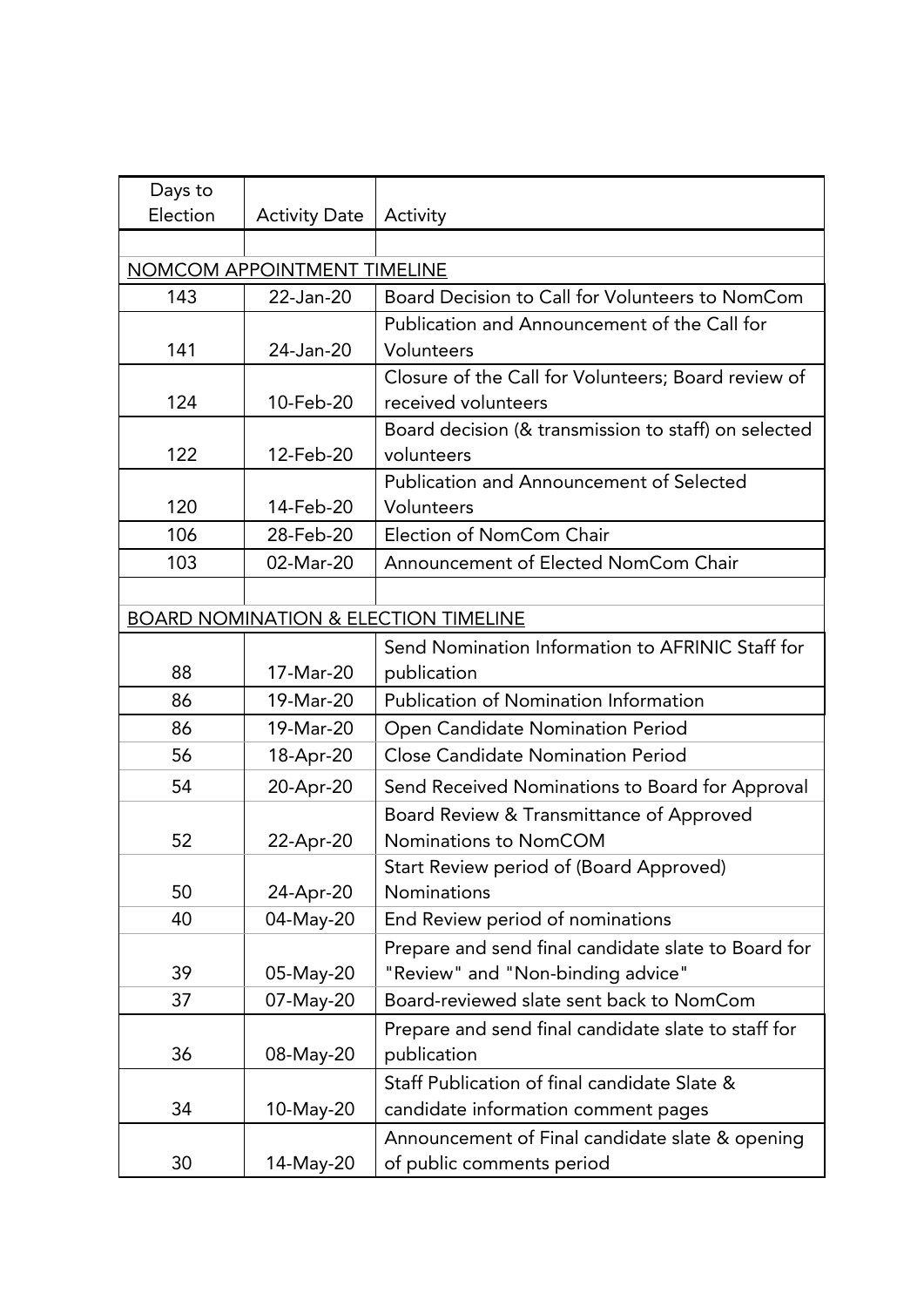| Days to                                         |                      |                                                      |  |
|-------------------------------------------------|----------------------|------------------------------------------------------|--|
| Election                                        | <b>Activity Date</b> | Activity                                             |  |
|                                                 |                      |                                                      |  |
| NOMCOM APPOINTMENT TIMELINE                     |                      |                                                      |  |
| 143                                             | 22-Jan-20            | Board Decision to Call for Volunteers to NomCom      |  |
|                                                 |                      | Publication and Announcement of the Call for         |  |
| 141                                             | 24-Jan-20            | Volunteers                                           |  |
|                                                 |                      | Closure of the Call for Volunteers; Board review of  |  |
| 124                                             | 10-Feb-20            | received volunteers                                  |  |
|                                                 |                      | Board decision (& transmission to staff) on selected |  |
| 122                                             | 12-Feb-20            | volunteers                                           |  |
|                                                 |                      | Publication and Announcement of Selected             |  |
| 120                                             | 14-Feb-20            | Volunteers                                           |  |
| 106                                             | 28-Feb-20            | Election of NomCom Chair                             |  |
| 103                                             | 02-Mar-20            | Announcement of Elected NomCom Chair                 |  |
|                                                 |                      |                                                      |  |
| <b>BOARD NOMINATION &amp; ELECTION TIMELINE</b> |                      |                                                      |  |
|                                                 |                      | Send Nomination Information to AFRINIC Staff for     |  |
| 88                                              | 17-Mar-20            | publication                                          |  |
| 86                                              | 19-Mar-20            | <b>Publication of Nomination Information</b>         |  |
| 86                                              | 19-Mar-20            | Open Candidate Nomination Period                     |  |
| 56                                              | 18-Apr-20            | <b>Close Candidate Nomination Period</b>             |  |
| 54                                              | 20-Apr-20            | Send Received Nominations to Board for Approval      |  |
|                                                 |                      | Board Review & Transmittance of Approved             |  |
| 52                                              | 22-Apr-20            | Nominations to NomCOM                                |  |
|                                                 |                      | Start Review period of (Board Approved)              |  |
| 50                                              | 24-Apr-20            | Nominations                                          |  |
| 40                                              | 04-May-20            | End Review period of nominations                     |  |
|                                                 |                      | Prepare and send final candidate slate to Board for  |  |
| 39                                              | 05-May-20            | "Review" and "Non-binding advice"                    |  |
| 37                                              | 07-May-20            | Board-reviewed slate sent back to NomCom             |  |
|                                                 |                      | Prepare and send final candidate slate to staff for  |  |
| 36                                              | 08-May-20            | publication                                          |  |
|                                                 |                      | Staff Publication of final candidate Slate &         |  |
| 34                                              | 10-May-20            | candidate information comment pages                  |  |
|                                                 |                      | Announcement of Final candidate slate & opening      |  |
| 30                                              | 14-May-20            | of public comments period                            |  |